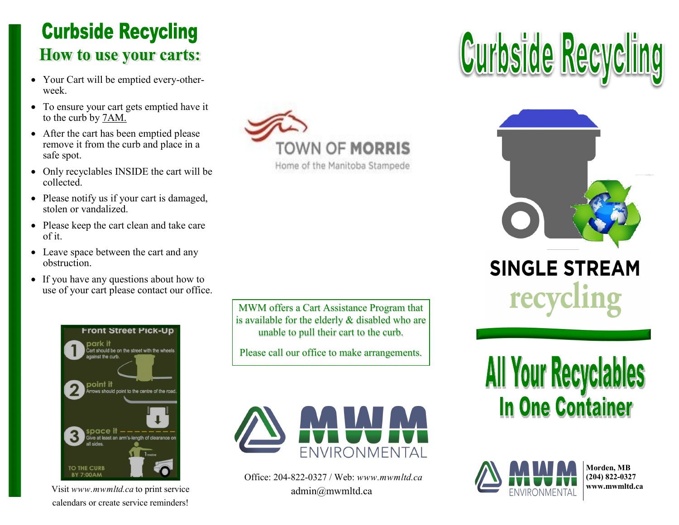## **Curbside Recycling How to use your carts:**

- Your Cart will be emptied every-otherweek.
- To ensure your cart gets emptied have it to the curb by 7AM.
- After the cart has been emptied please remove it from the curb and place in a safe spot.
- Only recyclables INSIDE the cart will be collected.
- Please notify us if your cart is damaged, stolen or vandalized.
- Please keep the cart clean and take care of it.
- Leave space between the cart and any obstruction.
- If you have any questions about how to use of your cart please contact our office.



Visit *www.mwmltd.ca* to print service calendars or create service reminders!



Home of the Manitoba Stampede

MWM offers a Cart Assistance Program that is available for the elderly & disabled who are unable to pull their cart to the curb.

Please call our office to make arrangements.



Office: 204-822-0327 / Web: *www.mwmltd.ca* admin@mwmltd.ca





**SINGLE STREAM** 

**All Your Recyclables In One Container** 



**Morden, MB (204) 822-0327 www.mwmltd.ca**